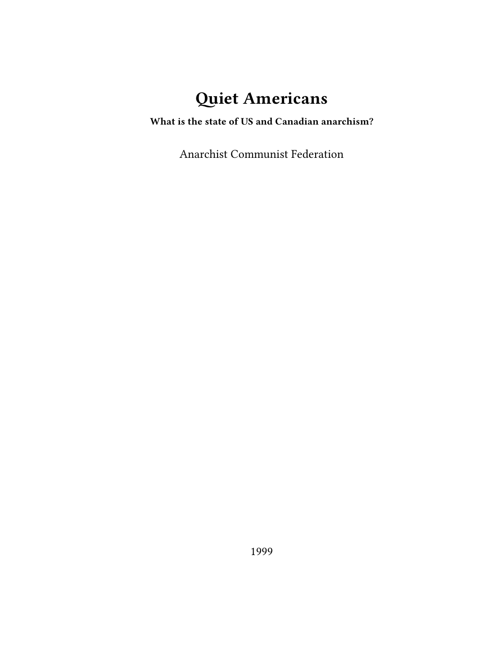# **Quiet Americans**

**What is the state of US and Canadian anarchism?**

Anarchist Communist Federation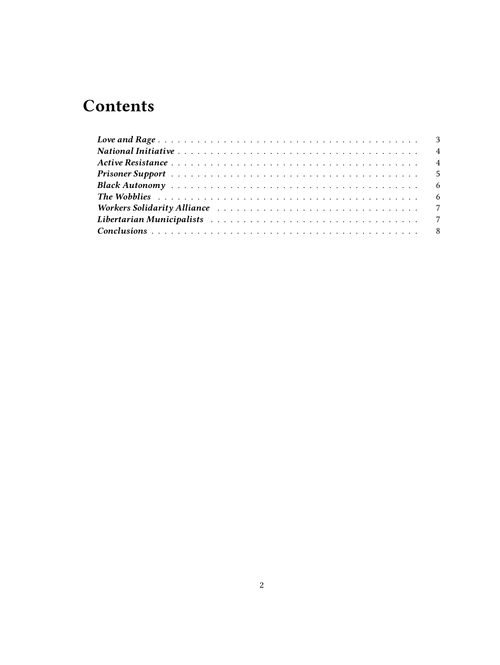# **Contents**

| Libertarian Municipalists research research research research and the state of the T |  |  |  |  |  |  |  |  |  |  |  |  |  |  |  |
|--------------------------------------------------------------------------------------|--|--|--|--|--|--|--|--|--|--|--|--|--|--|--|
|                                                                                      |  |  |  |  |  |  |  |  |  |  |  |  |  |  |  |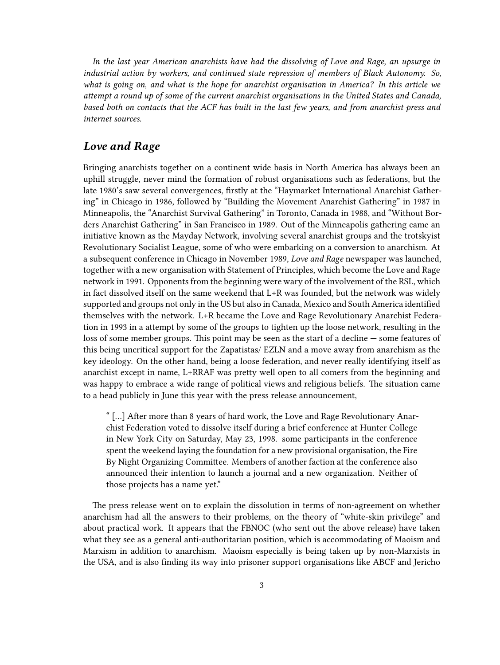*In the last year American anarchists have had the dissolving of Love and Rage, an upsurge in industrial action by workers, and continued state repression of members of Black Autonomy. So, what is going on, and what is the hope for anarchist organisation in America? In this article we attempt a round up of some of the current anarchist organisations in the United States and Canada, based both on contacts that the ACF has built in the last few years, and from anarchist press and internet sources.*

### <span id="page-2-0"></span>*Love and Rage*

Bringing anarchists together on a continent wide basis in North America has always been an uphill struggle, never mind the formation of robust organisations such as federations, but the late 1980's saw several convergences, firstly at the "Haymarket International Anarchist Gathering" in Chicago in 1986, followed by "Building the Movement Anarchist Gathering" in 1987 in Minneapolis, the "Anarchist Survival Gathering" in Toronto, Canada in 1988, and "Without Borders Anarchist Gathering" in San Francisco in 1989. Out of the Minneapolis gathering came an initiative known as the Mayday Network, involving several anarchist groups and the trotskyist Revolutionary Socialist League, some of who were embarking on a conversion to anarchism. At a subsequent conference in Chicago in November 1989, *Love and Rage* newspaper was launched, together with a new organisation with Statement of Principles, which become the Love and Rage network in 1991. Opponents from the beginning were wary of the involvement of the RSL, which in fact dissolved itself on the same weekend that L+R was founded, but the network was widely supported and groups not only in the US but also in Canada, Mexico and South America identified themselves with the network. L+R became the Love and Rage Revolutionary Anarchist Federation in 1993 in a attempt by some of the groups to tighten up the loose network, resulting in the loss of some member groups. This point may be seen as the start of a decline — some features of this being uncritical support for the Zapatistas/ EZLN and a move away from anarchism as the key ideology. On the other hand, being a loose federation, and never really identifying itself as anarchist except in name, L+RRAF was pretty well open to all comers from the beginning and was happy to embrace a wide range of political views and religious beliefs. The situation came to a head publicly in June this year with the press release announcement,

" […] After more than 8 years of hard work, the Love and Rage Revolutionary Anarchist Federation voted to dissolve itself during a brief conference at Hunter College in New York City on Saturday, May 23, 1998. some participants in the conference spent the weekend laying the foundation for a new provisional organisation, the Fire By Night Organizing Committee. Members of another faction at the conference also announced their intention to launch a journal and a new organization. Neither of those projects has a name yet."

The press release went on to explain the dissolution in terms of non-agreement on whether anarchism had all the answers to their problems, on the theory of "white-skin privilege" and about practical work. It appears that the FBNOC (who sent out the above release) have taken what they see as a general anti-authoritarian position, which is accommodating of Maoism and Marxism in addition to anarchism. Maoism especially is being taken up by non-Marxists in the USA, and is also finding its way into prisoner support organisations like ABCF and Jericho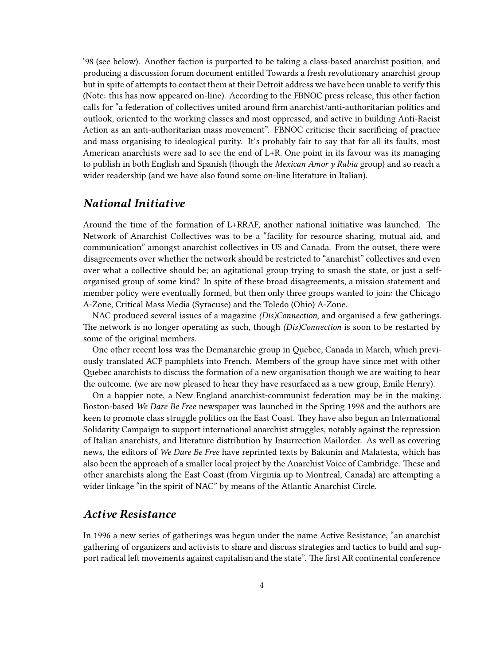'98 (see below). Another faction is purported to be taking a class-based anarchist position, and producing a discussion forum document entitled Towards a fresh revolutionary anarchist group but in spite of attempts to contact them at their Detroit address we have been unable to verify this (Note: this has now appeared on-line). According to the FBNOC press release, this other faction calls for "a federation of collectives united around firm anarchist/anti-authoritarian politics and outlook, oriented to the working classes and most oppressed, and active in building Anti-Racist Action as an anti-authoritarian mass movement". FBNOC criticise their sacrificing of practice and mass organising to ideological purity. It's probably fair to say that for all its faults, most American anarchists were sad to see the end of L+R. One point in its favour was its managing to publish in both English and Spanish (though the *Mexican Amor y Rabia* group) and so reach a wider readership (and we have also found some on-line literature in Italian).

#### <span id="page-3-0"></span>*National Initiative*

Around the time of the formation of L+RRAF, another national initiative was launched. The Network of Anarchist Collectives was to be a "facility for resource sharing, mutual aid, and communication" amongst anarchist collectives in US and Canada. From the outset, there were disagreements over whether the network should be restricted to "anarchist" collectives and even over what a collective should be; an agitational group trying to smash the state, or just a selforganised group of some kind? In spite of these broad disagreements, a mission statement and member policy were eventually formed, but then only three groups wanted to join: the Chicago A-Zone, Critical Mass Media (Syracuse) and the Toledo (Ohio) A-Zone.

NAC produced several issues of a magazine *(Dis)Connection*, and organised a few gatherings. The network is no longer operating as such, though *(Dis)Connection* is soon to be restarted by some of the original members.

One other recent loss was the Demanarchie group in Quebec, Canada in March, which previously translated ACF pamphlets into French. Members of the group have since met with other Quebec anarchists to discuss the formation of a new organisation though we are waiting to hear the outcome. (we are now pleased to hear they have resurfaced as a new group, Emile Henry).

On a happier note, a New England anarchist-communist federation may be in the making. Boston-based *We Dare Be Free* newspaper was launched in the Spring 1998 and the authors are keen to promote class struggle politics on the East Coast. They have also begun an International Solidarity Campaign to support international anarchist struggles, notably against the repression of Italian anarchists, and literature distribution by Insurrection Mailorder. As well as covering news, the editors of *We Dare Be Free* have reprinted texts by Bakunin and Malatesta, which has also been the approach of a smaller local project by the Anarchist Voice of Cambridge. These and other anarchists along the East Coast (from Virginia up to Montreal, Canada) are attempting a wider linkage "in the spirit of NAC" by means of the Atlantic Anarchist Circle.

#### <span id="page-3-1"></span>*Active Resistance*

In 1996 a new series of gatherings was begun under the name Active Resistance, "an anarchist gathering of organizers and activists to share and discuss strategies and tactics to build and support radical left movements against capitalism and the state". The first AR continental conference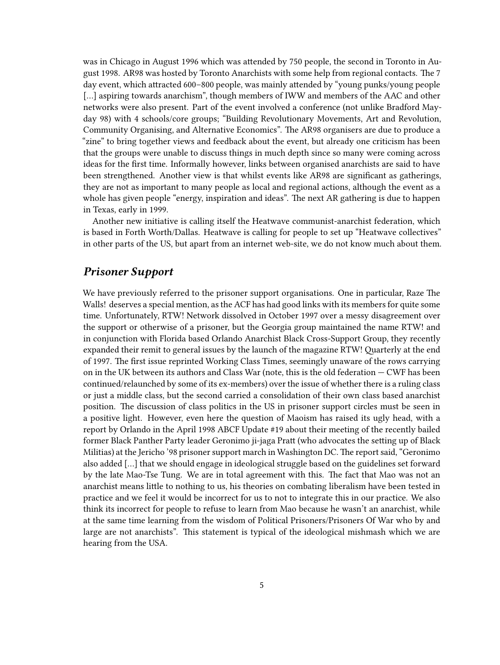was in Chicago in August 1996 which was attended by 750 people, the second in Toronto in August 1998. AR98 was hosted by Toronto Anarchists with some help from regional contacts. The 7 day event, which attracted 600–800 people, was mainly attended by "young punks/young people [...] aspiring towards anarchism", though members of IWW and members of the AAC and other networks were also present. Part of the event involved a conference (not unlike Bradford Mayday 98) with 4 schools/core groups; "Building Revolutionary Movements, Art and Revolution, Community Organising, and Alternative Economics". The AR98 organisers are due to produce a "zine" to bring together views and feedback about the event, but already one criticism has been that the groups were unable to discuss things in much depth since so many were coming across ideas for the first time. Informally however, links between organised anarchists are said to have been strengthened. Another view is that whilst events like AR98 are significant as gatherings, they are not as important to many people as local and regional actions, although the event as a whole has given people "energy, inspiration and ideas". The next AR gathering is due to happen in Texas, early in 1999.

Another new initiative is calling itself the Heatwave communist-anarchist federation, which is based in Forth Worth/Dallas. Heatwave is calling for people to set up "Heatwave collectives" in other parts of the US, but apart from an internet web-site, we do not know much about them.

### <span id="page-4-0"></span>*Prisoner Support*

We have previously referred to the prisoner support organisations. One in particular, Raze The Walls! deserves a special mention, as the ACF has had good links with its members for quite some time. Unfortunately, RTW! Network dissolved in October 1997 over a messy disagreement over the support or otherwise of a prisoner, but the Georgia group maintained the name RTW! and in conjunction with Florida based Orlando Anarchist Black Cross-Support Group, they recently expanded their remit to general issues by the launch of the magazine RTW! Quarterly at the end of 1997. The first issue reprinted Working Class Times, seemingly unaware of the rows carrying on in the UK between its authors and Class War (note, this is the old federation  $-$  CWF has been continued/relaunched by some of its ex-members) over the issue of whether there is a ruling class or just a middle class, but the second carried a consolidation of their own class based anarchist position. The discussion of class politics in the US in prisoner support circles must be seen in a positive light. However, even here the question of Maoism has raised its ugly head, with a report by Orlando in the April 1998 ABCF Update #19 about their meeting of the recently bailed former Black Panther Party leader Geronimo ji-jaga Pratt (who advocates the setting up of Black Militias) at the Jericho '98 prisoner support march in Washington DC. The report said, "Geronimo also added […] that we should engage in ideological struggle based on the guidelines set forward by the late Mao-Tse Tung. We are in total agreement with this. The fact that Mao was not an anarchist means little to nothing to us, his theories on combating liberalism have been tested in practice and we feel it would be incorrect for us to not to integrate this in our practice. We also think its incorrect for people to refuse to learn from Mao because he wasn't an anarchist, while at the same time learning from the wisdom of Political Prisoners/Prisoners Of War who by and large are not anarchists". This statement is typical of the ideological mishmash which we are hearing from the USA.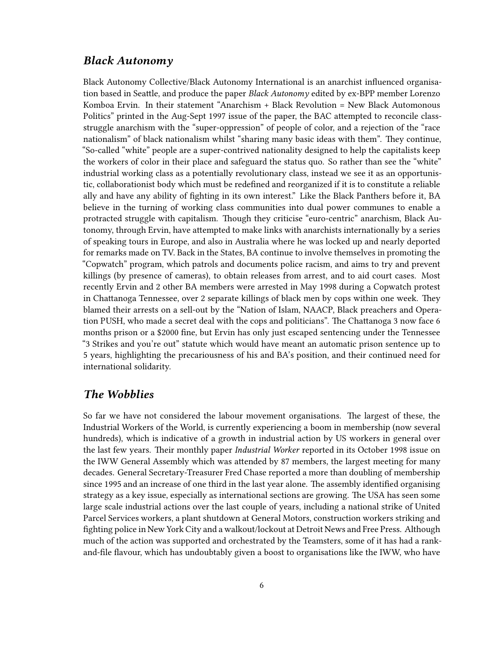#### <span id="page-5-0"></span>*Black Autonomy*

Black Autonomy Collective/Black Autonomy International is an anarchist influenced organisation based in Seattle, and produce the paper *Black Autonomy* edited by ex-BPP member Lorenzo Komboa Ervin. In their statement "Anarchism + Black Revolution = New Black Automonous Politics" printed in the Aug-Sept 1997 issue of the paper, the BAC attempted to reconcile classstruggle anarchism with the "super-oppression" of people of color, and a rejection of the "race nationalism" of black nationalism whilst "sharing many basic ideas with them". They continue, "So-called "white" people are a super-contrived nationality designed to help the capitalists keep the workers of color in their place and safeguard the status quo. So rather than see the "white" industrial working class as a potentially revolutionary class, instead we see it as an opportunistic, collaborationist body which must be redefined and reorganized if it is to constitute a reliable ally and have any ability of fighting in its own interest." Like the Black Panthers before it, BA believe in the turning of working class communities into dual power communes to enable a protracted struggle with capitalism. Though they criticise "euro-centric" anarchism, Black Autonomy, through Ervin, have attempted to make links with anarchists internationally by a series of speaking tours in Europe, and also in Australia where he was locked up and nearly deported for remarks made on TV. Back in the States, BA continue to involve themselves in promoting the "Copwatch" program, which patrols and documents police racism, and aims to try and prevent killings (by presence of cameras), to obtain releases from arrest, and to aid court cases. Most recently Ervin and 2 other BA members were arrested in May 1998 during a Copwatch protest in Chattanoga Tennessee, over 2 separate killings of black men by cops within one week. They blamed their arrests on a sell-out by the "Nation of Islam, NAACP, Black preachers and Operation PUSH, who made a secret deal with the cops and politicians". The Chattanoga 3 now face 6 months prison or a \$2000 fine, but Ervin has only just escaped sentencing under the Tennessee "3 Strikes and you're out" statute which would have meant an automatic prison sentence up to 5 years, highlighting the precariousness of his and BA's position, and their continued need for international solidarity.

### <span id="page-5-1"></span>*The Wobblies*

So far we have not considered the labour movement organisations. The largest of these, the Industrial Workers of the World, is currently experiencing a boom in membership (now several hundreds), which is indicative of a growth in industrial action by US workers in general over the last few years. Their monthly paper *Industrial Worker* reported in its October 1998 issue on the IWW General Assembly which was attended by 87 members, the largest meeting for many decades. General Secretary-Treasurer Fred Chase reported a more than doubling of membership since 1995 and an increase of one third in the last year alone. The assembly identified organising strategy as a key issue, especially as international sections are growing. The USA has seen some large scale industrial actions over the last couple of years, including a national strike of United Parcel Services workers, a plant shutdown at General Motors, construction workers striking and fighting police in New York City and a walkout/lockout at Detroit News and Free Press. Although much of the action was supported and orchestrated by the Teamsters, some of it has had a rankand-file flavour, which has undoubtably given a boost to organisations like the IWW, who have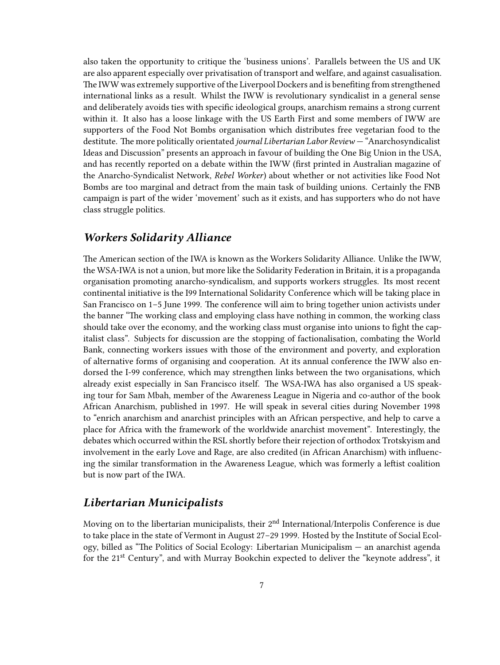also taken the opportunity to critique the 'business unions'. Parallels between the US and UK are also apparent especially over privatisation of transport and welfare, and against casualisation. The IWW was extremely supportive of the Liverpool Dockers and is benefiting from strengthened international links as a result. Whilst the IWW is revolutionary syndicalist in a general sense and deliberately avoids ties with specific ideological groups, anarchism remains a strong current within it. It also has a loose linkage with the US Earth First and some members of IWW are supporters of the Food Not Bombs organisation which distributes free vegetarian food to the destitute. The more politically orientated *journal Libertarian Labor Review* — "Anarchosyndicalist Ideas and Discussion" presents an approach in favour of building the One Big Union in the USA, and has recently reported on a debate within the IWW (first printed in Australian magazine of the Anarcho-Syndicalist Network, *Rebel Worker*) about whether or not activities like Food Not Bombs are too marginal and detract from the main task of building unions. Certainly the FNB campaign is part of the wider 'movement' such as it exists, and has supporters who do not have class struggle politics.

#### <span id="page-6-0"></span>*Workers Solidarity Alliance*

The American section of the IWA is known as the Workers Solidarity Alliance. Unlike the IWW, the WSA-IWA is not a union, but more like the Solidarity Federation in Britain, it is a propaganda organisation promoting anarcho-syndicalism, and supports workers struggles. Its most recent continental initiative is the I99 International Solidarity Conference which will be taking place in San Francisco on 1–5 June 1999. The conference will aim to bring together union activists under the banner "The working class and employing class have nothing in common, the working class should take over the economy, and the working class must organise into unions to fight the capitalist class". Subjects for discussion are the stopping of factionalisation, combating the World Bank, connecting workers issues with those of the environment and poverty, and exploration of alternative forms of organising and cooperation. At its annual conference the IWW also endorsed the I-99 conference, which may strengthen links between the two organisations, which already exist especially in San Francisco itself. The WSA-IWA has also organised a US speaking tour for Sam Mbah, member of the Awareness League in Nigeria and co-author of the book African Anarchism, published in 1997. He will speak in several cities during November 1998 to "enrich anarchism and anarchist principles with an African perspective, and help to carve a place for Africa with the framework of the worldwide anarchist movement". Interestingly, the debates which occurred within the RSL shortly before their rejection of orthodox Trotskyism and involvement in the early Love and Rage, are also credited (in African Anarchism) with influencing the similar transformation in the Awareness League, which was formerly a leftist coalition but is now part of the IWA.

## <span id="page-6-1"></span>*Libertarian Municipalists*

Moving on to the libertarian municipalists, their 2<sup>nd</sup> International/Interpolis Conference is due to take place in the state of Vermont in August 27–29 1999. Hosted by the Institute of Social Ecology, billed as "The Politics of Social Ecology: Libertarian Municipalism — an anarchist agenda for the 21<sup>st</sup> Century", and with Murray Bookchin expected to deliver the "keynote address", it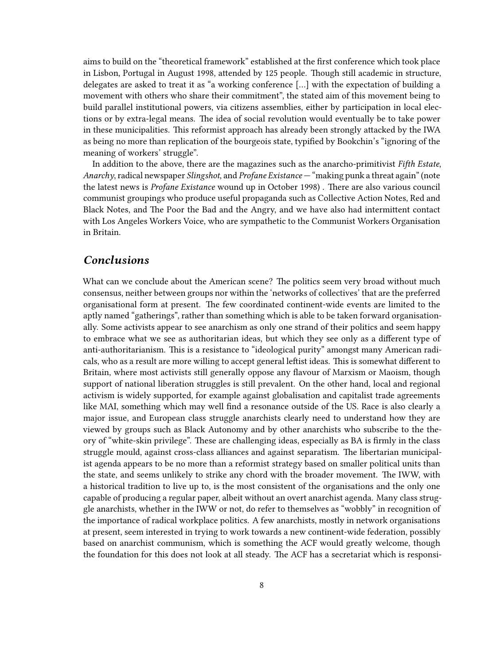aims to build on the "theoretical framework" established at the first conference which took place in Lisbon, Portugal in August 1998, attended by 125 people. Though still academic in structure, delegates are asked to treat it as "a working conference […] with the expectation of building a movement with others who share their commitment", the stated aim of this movement being to build parallel institutional powers, via citizens assemblies, either by participation in local elections or by extra-legal means. The idea of social revolution would eventually be to take power in these municipalities. This reformist approach has already been strongly attacked by the IWA as being no more than replication of the bourgeois state, typified by Bookchin's "ignoring of the meaning of workers' struggle".

In addition to the above, there are the magazines such as the anarcho-primitivist *Fifth Estate*, *Anarchy*, radical newspaper *Slingshot*, and *Profane Existance* — "making punk a threat again" (note the latest news is *Profane Existance* wound up in October 1998) . There are also various council communist groupings who produce useful propaganda such as Collective Action Notes, Red and Black Notes, and The Poor the Bad and the Angry, and we have also had intermittent contact with Los Angeles Workers Voice, who are sympathetic to the Communist Workers Organisation in Britain.

### <span id="page-7-0"></span>*Conclusions*

What can we conclude about the American scene? The politics seem very broad without much consensus, neither between groups nor within the 'networks of collectives' that are the preferred organisational form at present. The few coordinated continent-wide events are limited to the aptly named "gatherings", rather than something which is able to be taken forward organisationally. Some activists appear to see anarchism as only one strand of their politics and seem happy to embrace what we see as authoritarian ideas, but which they see only as a different type of anti-authoritarianism. This is a resistance to "ideological purity" amongst many American radicals, who as a result are more willing to accept general leftist ideas. This is somewhat different to Britain, where most activists still generally oppose any flavour of Marxism or Maoism, though support of national liberation struggles is still prevalent. On the other hand, local and regional activism is widely supported, for example against globalisation and capitalist trade agreements like MAI, something which may well find a resonance outside of the US. Race is also clearly a major issue, and European class struggle anarchists clearly need to understand how they are viewed by groups such as Black Autonomy and by other anarchists who subscribe to the theory of "white-skin privilege". These are challenging ideas, especially as BA is firmly in the class struggle mould, against cross-class alliances and against separatism. The libertarian municipalist agenda appears to be no more than a reformist strategy based on smaller political units than the state, and seems unlikely to strike any chord with the broader movement. The IWW, with a historical tradition to live up to, is the most consistent of the organisations and the only one capable of producing a regular paper, albeit without an overt anarchist agenda. Many class struggle anarchists, whether in the IWW or not, do refer to themselves as "wobbly" in recognition of the importance of radical workplace politics. A few anarchists, mostly in network organisations at present, seem interested in trying to work towards a new continent-wide federation, possibly based on anarchist communism, which is something the ACF would greatly welcome, though the foundation for this does not look at all steady. The ACF has a secretariat which is responsi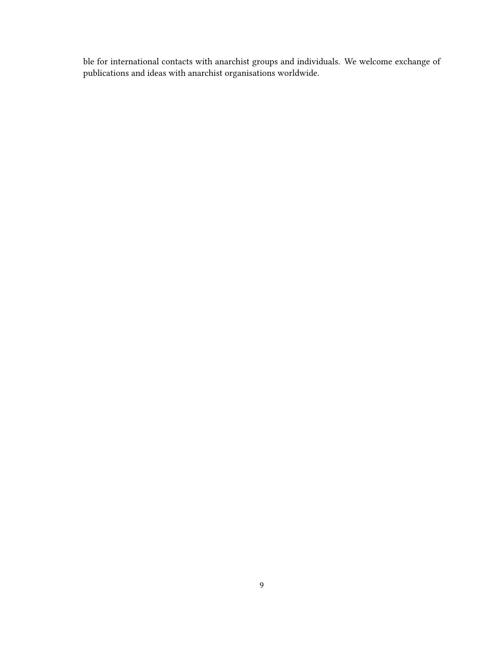ble for international contacts with anarchist groups and individuals. We welcome exchange of publications and ideas with anarchist organisations worldwide.